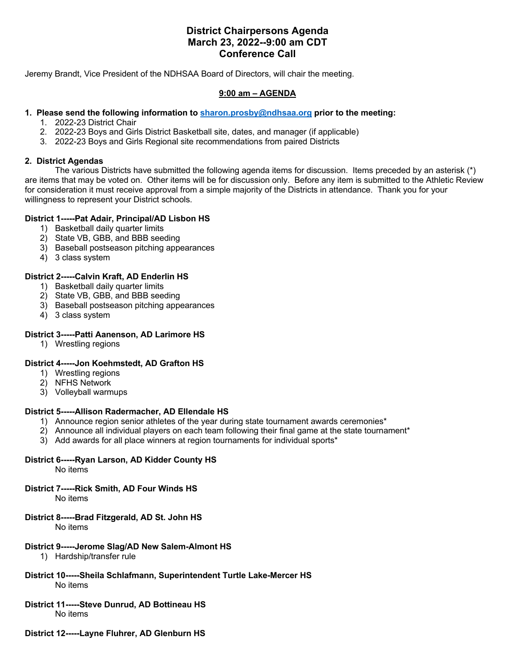# **District Chairpersons Agenda March 23, 2022--9:00 am CDT Conference Call**

Jeremy Brandt, Vice President of the NDHSAA Board of Directors, will chair the meeting.

#### **9:00 am – AGENDA**

## **1. Please send the following information to sharon.prosby@ndhsaa.org prior to the meeting:**

- 1. 2022-23 District Chair
- 2. 2022-23 Boys and Girls District Basketball site, dates, and manager (if applicable)
- 3. 2022-23 Boys and Girls Regional site recommendations from paired Districts

#### **2. District Agendas**

The various Districts have submitted the following agenda items for discussion. Items preceded by an asterisk (\*) are items that may be voted on. Other items will be for discussion only. Before any item is submitted to the Athletic Review for consideration it must receive approval from a simple majority of the Districts in attendance. Thank you for your willingness to represent your District schools.

## **District 1-----Pat Adair, Principal/AD Lisbon HS**

- 1) Basketball daily quarter limits
- 2) State VB, GBB, and BBB seeding
- 3) Baseball postseason pitching appearances
- 4) 3 class system

#### **District 2-----Calvin Kraft, AD Enderlin HS**

- 1) Basketball daily quarter limits
- 2) State VB, GBB, and BBB seeding
- 3) Baseball postseason pitching appearances
- 4) 3 class system

## **District 3-----Patti Aanenson, AD Larimore HS**

1) Wrestling regions

#### **District 4-----Jon Koehmstedt, AD Grafton HS**

- 1) Wrestling regions
- 2) NFHS Network
- 3) Volleyball warmups

## **District 5-----Allison Radermacher, AD Ellendale HS**

- 1) Announce region senior athletes of the year during state tournament awards ceremonies\*
- 2) Announce all individual players on each team following their final game at the state tournament\*
- 3) Add awards for all place winners at region tournaments for individual sports\*

## **District 6-----Ryan Larson, AD Kidder County HS**

No items

## **District 7-----Rick Smith, AD Four Winds HS**

No items

#### **District 8-----Brad Fitzgerald, AD St. John HS**

No items

#### **District 9-----Jerome Slag/AD New Salem-Almont HS**

- 1) Hardship/transfer rule
- **District 10-----Sheila Schlafmann, Superintendent Turtle Lake-Mercer HS** No items

# **District 11-----Steve Dunrud, AD Bottineau HS**

No items

## **District 12-----Layne Fluhrer, AD Glenburn HS**